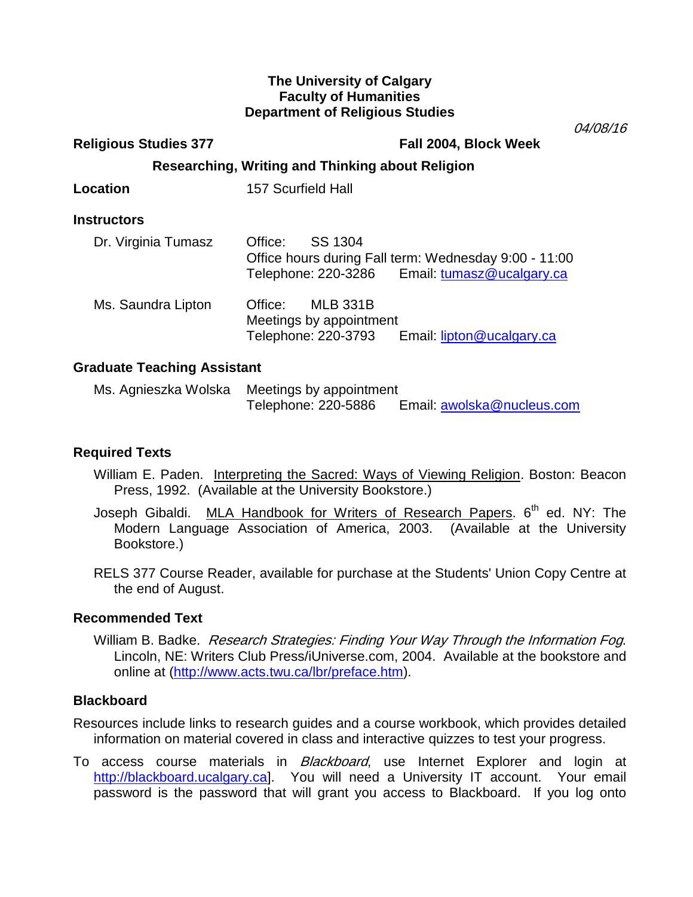#### **The University of Calgary Faculty of Humanities Department of Religious Studies**

04/08/16

# **Religious Studies 377** Fall 2004, Block Week  **Researching, Writing and Thinking about Religion Location** 157 Scurfield Hall **Instructors**

| Dr. Virginia Tumasz | Office: SS 1304<br>Office hours during Fall term: Wednesday 9:00 - 11:00<br>Telephone: 220-3286 Email: tumasz@ucalgary.ca |
|---------------------|---------------------------------------------------------------------------------------------------------------------------|
| Ms. Saundra Lipton  | <b>MLB 331B</b><br>Office:<br>Meetings by appointment<br>Telephone: 220-3793<br>Email: lipton@ucalgary.ca                 |

# **Graduate Teaching Assistant**

Ms. Agnieszka Wolska Meetings by appointment Telephone: 220-5886 Email: awolska@nucleus.com

# **Required Texts**

- William E. Paden. Interpreting the Sacred: Ways of Viewing Religion. Boston: Beacon Press, 1992. (Available at the University Bookstore.)
- Joseph Gibaldi. MLA Handbook for Writers of Research Papers. 6<sup>th</sup> ed. NY: The Modern Language Association of America, 2003. (Available at the University Bookstore.)
- RELS 377 Course Reader, available for purchase at the Students' Union Copy Centre at the end of August.

#### **Recommended Text**

William B. Badke. Research Strategies: Finding Your Way Through the Information Fog. Lincoln, NE: Writers Club Press/iUniverse.com, 2004. Available at the bookstore and online at (http://www.acts.twu.ca/lbr/preface.htm).

# **Blackboard**

Resources include links to research guides and a course workbook, which provides detailed information on material covered in class and interactive quizzes to test your progress.

To access course materials in *Blackboard*, use Internet Explorer and login at http://blackboard.ucalgary.ca]. You will need a University IT account. Your email password is the password that will grant you access to Blackboard. If you log onto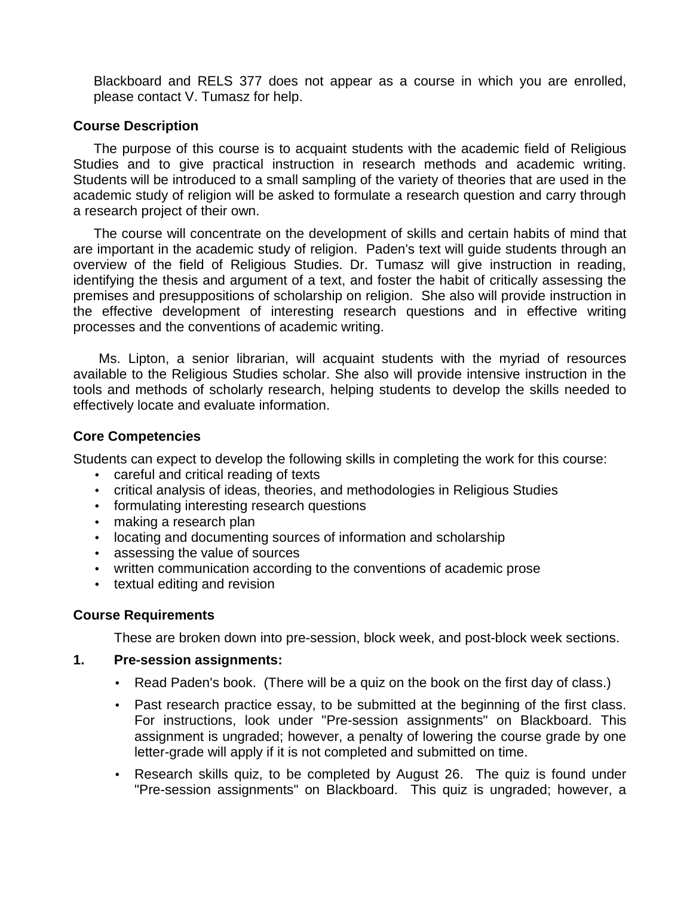Blackboard and RELS 377 does not appear as a course in which you are enrolled, please contact V. Tumasz for help.

#### **Course Description**

The purpose of this course is to acquaint students with the academic field of Religious Studies and to give practical instruction in research methods and academic writing. Students will be introduced to a small sampling of the variety of theories that are used in the academic study of religion will be asked to formulate a research question and carry through a research project of their own.

The course will concentrate on the development of skills and certain habits of mind that are important in the academic study of religion. Paden's text will guide students through an overview of the field of Religious Studies. Dr. Tumasz will give instruction in reading, identifying the thesis and argument of a text, and foster the habit of critically assessing the premises and presuppositions of scholarship on religion. She also will provide instruction in the effective development of interesting research questions and in effective writing processes and the conventions of academic writing.

 Ms. Lipton, a senior librarian, will acquaint students with the myriad of resources available to the Religious Studies scholar. She also will provide intensive instruction in the tools and methods of scholarly research, helping students to develop the skills needed to effectively locate and evaluate information.

## **Core Competencies**

Students can expect to develop the following skills in completing the work for this course:

- careful and critical reading of texts
- critical analysis of ideas, theories, and methodologies in Religious Studies
- formulating interesting research questions
- making a research plan
- locating and documenting sources of information and scholarship
- assessing the value of sources
- written communication according to the conventions of academic prose
- textual editing and revision

#### **Course Requirements**

These are broken down into pre-session, block week, and post-block week sections.

#### **1. Pre-session assignments:**

- Read Paden's book. (There will be a quiz on the book on the first day of class.)
- Past research practice essay, to be submitted at the beginning of the first class. For instructions, look under "Pre-session assignments" on Blackboard. This assignment is ungraded; however, a penalty of lowering the course grade by one letter-grade will apply if it is not completed and submitted on time.
- Research skills quiz, to be completed by August 26. The quiz is found under "Pre-session assignments" on Blackboard. This quiz is ungraded; however, a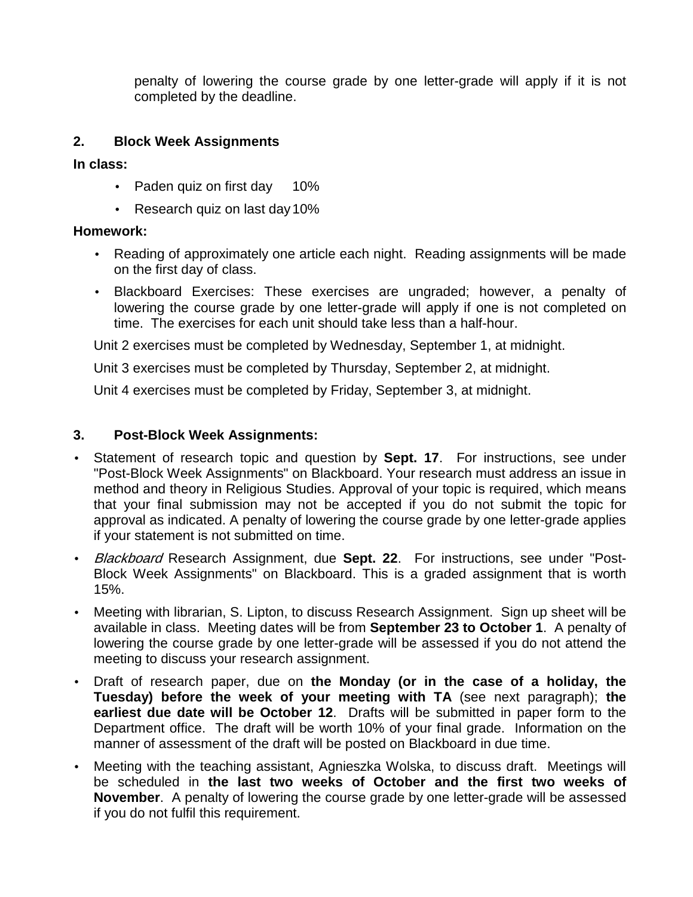penalty of lowering the course grade by one letter-grade will apply if it is not completed by the deadline.

## **2. Block Week Assignments**

#### **In class:**

- Paden quiz on first day 10%
- Research quiz on last day 10%

## **Homework:**

- Reading of approximately one article each night. Reading assignments will be made on the first day of class.
- Blackboard Exercises: These exercises are ungraded; however, a penalty of lowering the course grade by one letter-grade will apply if one is not completed on time. The exercises for each unit should take less than a half-hour.

Unit 2 exercises must be completed by Wednesday, September 1, at midnight.

Unit 3 exercises must be completed by Thursday, September 2, at midnight.

Unit 4 exercises must be completed by Friday, September 3, at midnight.

## **3. Post-Block Week Assignments:**

- Statement of research topic and question by **Sept. 17**. For instructions, see under "Post-Block Week Assignments" on Blackboard. Your research must address an issue in method and theory in Religious Studies. Approval of your topic is required, which means that your final submission may not be accepted if you do not submit the topic for approval as indicated. A penalty of lowering the course grade by one letter-grade applies if your statement is not submitted on time.
- Blackboard Research Assignment, due **Sept. 22**. For instructions, see under "Post-Block Week Assignments" on Blackboard. This is a graded assignment that is worth 15%.
- Meeting with librarian, S. Lipton, to discuss Research Assignment. Sign up sheet will be available in class. Meeting dates will be from **September 23 to October 1**. A penalty of lowering the course grade by one letter-grade will be assessed if you do not attend the meeting to discuss your research assignment.
- Draft of research paper, due on **the Monday (or in the case of a holiday, the Tuesday) before the week of your meeting with TA** (see next paragraph); **the earliest due date will be October 12**. Drafts will be submitted in paper form to the Department office. The draft will be worth 10% of your final grade. Information on the manner of assessment of the draft will be posted on Blackboard in due time.
- Meeting with the teaching assistant, Agnieszka Wolska, to discuss draft. Meetings will be scheduled in **the last two weeks of October and the first two weeks of November**. A penalty of lowering the course grade by one letter-grade will be assessed if you do not fulfil this requirement.